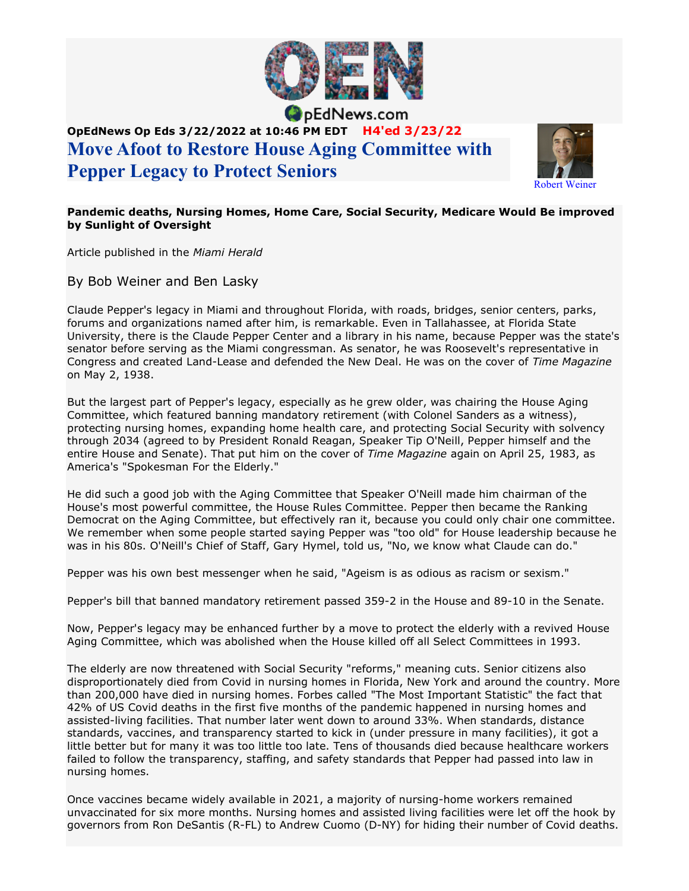

pEdNews.com

## OpEdNews Op Eds 3/22/2022 at 10:46 PM EDT H4'ed 3/23/22 Move Afoot to Restore House Aging Committee with Pepper Legacy to Protect Seniors



## Pandemic deaths, Nursing Homes, Home Care, Social Security, Medicare Would Be improved by Sunlight of Oversight

Article published in the Miami Herald

By Bob Weiner and Ben Lasky

Claude Pepper's legacy in Miami and throughout Florida, with roads, bridges, senior centers, parks, forums and organizations named after him, is remarkable. Even in Tallahassee, at Florida State University, there is the Claude Pepper Center and a library in his name, because Pepper was the state's senator before serving as the Miami congressman. As senator, he was Roosevelt's representative in Congress and created Land-Lease and defended the New Deal. He was on the cover of Time Magazine on May 2, 1938.

But the largest part of Pepper's legacy, especially as he grew older, was chairing the House Aging Committee, which featured banning mandatory retirement (with Colonel Sanders as a witness), protecting nursing homes, expanding home health care, and protecting Social Security with solvency through 2034 (agreed to by President Ronald Reagan, Speaker Tip O'Neill, Pepper himself and the entire House and Senate). That put him on the cover of Time Magazine again on April 25, 1983, as America's "Spokesman For the Elderly."

He did such a good job with the Aging Committee that Speaker O'Neill made him chairman of the House's most powerful committee, the House Rules Committee. Pepper then became the Ranking Democrat on the Aging Committee, but effectively ran it, because you could only chair one committee. We remember when some people started saying Pepper was "too old" for House leadership because he was in his 80s. O'Neill's Chief of Staff, Gary Hymel, told us, "No, we know what Claude can do."

Pepper was his own best messenger when he said, "Ageism is as odious as racism or sexism."

Pepper's bill that banned mandatory retirement passed 359-2 in the House and 89-10 in the Senate.

Now, Pepper's legacy may be enhanced further by a move to protect the elderly with a revived House Aging Committee, which was abolished when the House killed off all Select Committees in 1993.

The elderly are now threatened with Social Security "reforms," meaning cuts. Senior citizens also disproportionately died from Covid in nursing homes in Florida, New York and around the country. More than 200,000 have died in nursing homes. Forbes called "The Most Important Statistic" the fact that 42% of US Covid deaths in the first five months of the pandemic happened in nursing homes and assisted-living facilities. That number later went down to around 33%. When standards, distance standards, vaccines, and transparency started to kick in (under pressure in many facilities), it got a little better but for many it was too little too late. Tens of thousands died because healthcare workers failed to follow the transparency, staffing, and safety standards that Pepper had passed into law in nursing homes.

Once vaccines became widely available in 2021, a majority of nursing-home workers remained unvaccinated for six more months. Nursing homes and assisted living facilities were let off the hook by governors from Ron DeSantis (R-FL) to Andrew Cuomo (D-NY) for hiding their number of Covid deaths.